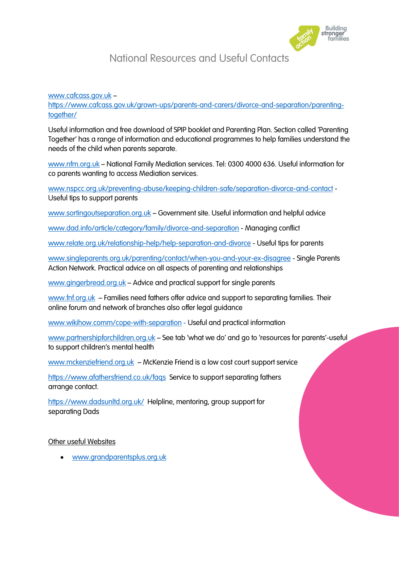

## National Resources and Useful Contacts

[www.cafcass.gov.uk](http://www.cafcass.gov.uk/) –

[https://www.cafcass.gov.uk/grown-ups/parents-and-carers/divorce-and-separation/parenting](https://www.cafcass.gov.uk/grown-ups/parents-and-carers/divorce-and-separation/parenting-together/)[together/](https://www.cafcass.gov.uk/grown-ups/parents-and-carers/divorce-and-separation/parenting-together/)

Useful information and free download of SPIP booklet and Parenting Plan. Section called 'Parenting Together' has a range of information and educational programmes to help families understand the needs of the child when parents separate.

[www.nfm.org.uk](http://www.nfm.org.uk/) – National Family Mediation services. Tel: 0300 4000 636. Useful information for co parents wanting to access Mediation services.

[www.nspcc.org.uk/preventing-abuse/keeping-children-safe/separation-divorce-and-contact](http://www.nspcc.org.uk/preventing-abuse/keeping-children-safe/separation-divorce-and-contact) - Useful tips to support parents

[www.sortingoutseparation.org.uk](http://www.sortingoutseparation.org.uk/) – Government site. Useful information and helpful advice

[www.dad.info/article/category/family/divorce-and-separation](http://www.dad.info/article/category/family/divorce-and-separation) - Managing conflict

[www.relate.org.uk/relationship-help/help-separation-and-divorce](http://www.relate.org.uk/relationship-help/help-separation-and-divorce) - Useful tips for parents

[www.singleparents.org.uk/parenting/contact/when-you-and-your-ex-disagree](http://www.singleparents.org.uk/parenting/contact/when-you-and-your-ex-disagree) - Single Parents Action Network. Practical advice on all aspects of parenting and relationships

[www.gingerbread.org.uk](http://www.gingerbread.org.uk/) – Advice and practical support for single parents

[www.fnf.org.uk](http://www.fnf.org.uk/) – Families need fathers offer advice and support to separating families. Their online forum and network of branches also offer legal guidance

[www.wikihow.comm/cope-with-separation](http://www.wikihow.comm/cope-with-separation) - Useful and practical information

[www.partnershipforchildren.org.uk](http://www.partnershipforchildren.org.uk/) - See tab 'what we do' and go to 'resources for parents'-useful to support children's mental health

[www.mckenziefriend.org.uk](http://www.mckenziefriend.org.uk/) – McKenzie Friend is a low cost court support service

<https://www.afathersfriend.co.uk/faqs>Service to support separating fathers arrange contact.

<https://www.dadsunltd.org.uk/>Helpline, mentoring, group support for separating Dads

## Other useful Websites

[www.grandparentsplus.org.uk](http://www.grandparentsplus.org.uk/)